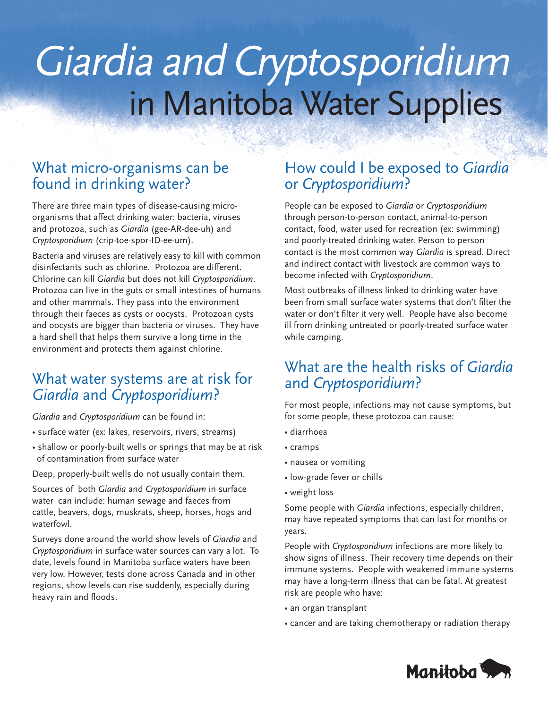# Giardia and Cryptosporidiumin Manitoba Water Supplies

# What micro-organisms can be found in drinking water?

There are three main types of disease-causing microorganisms that affect drinking water: bacteria, viruses and protozoa, such as *Giardia* (gee-AR-dee-uh) and *Cryptosporidium* (crip-toe-spor-ID-ee-um).

Bacteria and viruses are relatively easy to kill with common disinfectants such as chlorine. Protozoa are different. Chlorine can kill *Giardia* but does not kill *Cryptosporidium*. Protozoa can live in the guts or small intestines of humans and other mammals. They pass into the environment through their faeces as cysts or oocysts. Protozoan cysts and oocysts are bigger than bacteria or viruses. They have a hard shell that helps them survive a long time in the environment and protects them against chlorine.

# What water systems are at risk for *Giardia* and *Cryptosporidium*?

*Giardia* and *Cryptosporidium* can be found in:

- surface water (ex: lakes, reservoirs, rivers, streams)
- shallow or poorly-built wells or springs that may be at risk of contamination from surface water

Deep, properly-built wells do not usually contain them.

Sources of both *Giardia* and *Cryptosporidium* in surface water can include: human sewage and faeces from cattle, beavers, dogs, muskrats, sheep, horses, hogs and waterfowl.

Surveys done around the world show levels of *Giardia* and *Cryptosporidium* in surface water sources can vary a lot. To date, levels found in Manitoba surface waters have been very low. However, tests done across Canada and in other regions, show levels can rise suddenly, especially during heavy rain and floods.

# How could I be exposed to *Giardia* or *Cryptosporidium*?

People can be exposed to *Giardia* or *Cryptosporidium* through person-to-person contact, animal-to-person contact, food, water used for recreation (ex: swimming) and poorly-treated drinking water. Person to person contact is the most common way *Giardia* is spread. Direct and indirect contact with livestock are common ways to become infected with *Cryptosporidium*.

Most outbreaks of illness linked to drinking water have been from small surface water systems that don't filter the water or don't filter it very well. People have also become ill from drinking untreated or poorly-treated surface water while camping.

# What are the health risks of *Giardia* and *Cryptosporidium*?

For most people, infections may not cause symptoms, but for some people, these protozoa can cause:

- diarrhoea
- cramps
- nausea or vomiting
- low-grade fever or chills
- weight loss

Some people with *Giardia* infections, especially children, may have repeated symptoms that can last for months or years.

People with *Cryptosporidium* infections are more likely to show signs of illness. Their recovery time depends on their immune systems. People with weakened immune systems may have a long-term illness that can be fatal. At greatest risk are people who have:

- an organ transplant
- cancer and are taking chemotherapy or radiation therapy